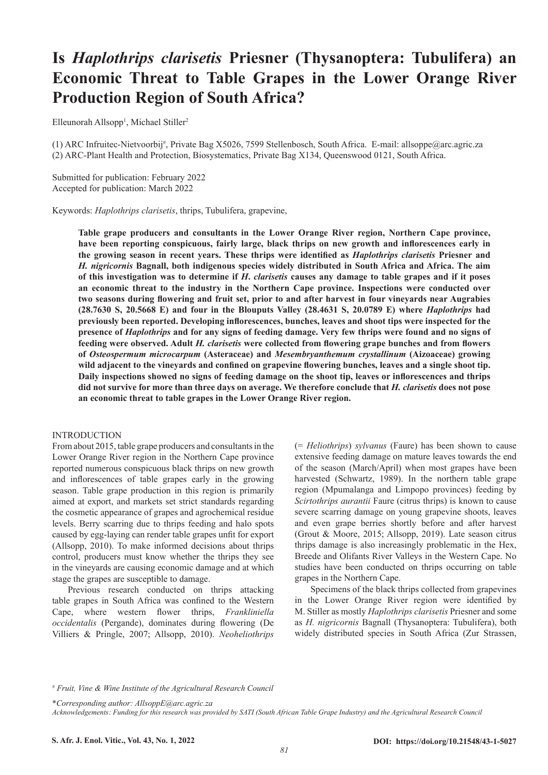# **Is** *Haplothrips clarisetis* **Priesner (Thysanoptera: Tubulifera) an Economic Threat to Table Grapes in the Lower Orange River Production Region of South Africa?**

Elleunorah Allsopp<sup>1</sup>, Michael Stiller<sup>2</sup>

(1) ARC Infruitec-Nietvoorbij# , Private Bag X5026, 7599 Stellenbosch, South Africa. E-mail: allsoppe@arc.agric.za (2) ARC-Plant Health and Protection, Biosystematics, Private Bag X134, Queenswood 0121, South Africa.

Submitted for publication: February 2022 Accepted for publication: March 2022

Keywords: *Haplothrips clarisetis*, thrips, Tubulifera, grapevine,

**Table grape producers and consultants in the Lower Orange River region, Northern Cape province, have been reporting conspicuous, fairly large, black thrips on new growth and inflorescences early in the growing season in recent years. These thrips were identified as** *Haplothrips clarisetis* **Priesner and**  *H. nigricornis* **Bagnall, both indigenous species widely distributed in South Africa and Africa. The aim of this investigation was to determine if** *H***.** *clarisetis* **causes any damage to table grapes and if it poses an economic threat to the industry in the Northern Cape province. Inspections were conducted over two seasons during flowering and fruit set, prior to and after harvest in four vineyards near Augrabies (28.7630 S, 20.5668 E) and four in the Blouputs Valley (28.4631 S, 20.0789 E) where** *Haplothrips* **had previously been reported. Developing inflorescences, bunches, leaves and shoot tips were inspected for the presence of** *Haplothrips* **and for any signs of feeding damage. Very few thrips were found and no signs of feeding were observed. Adult** *H. clarisetis* **were collected from flowering grape bunches and from flowers of** *Osteospermum microcarpum* **(Asteraceae) and** *Mesembryanthemum crystallinum* **(Aizoaceae) growing wild adjacent to the vineyards and confined on grapevine flowering bunches, leaves and a single shoot tip. Daily inspections showed no signs of feeding damage on the shoot tip, leaves or inflorescences and thrips did not survive for more than three days on average. We therefore conclude that** *H. clarisetis* **does not pose an economic threat to table grapes in the Lower Orange River region.**

### INTRODUCTION

From about 2015, table grape producers and consultants in the Lower Orange River region in the Northern Cape province reported numerous conspicuous black thrips on new growth and inflorescences of table grapes early in the growing season. Table grape production in this region is primarily aimed at export, and markets set strict standards regarding the cosmetic appearance of grapes and agrochemical residue levels. Berry scarring due to thrips feeding and halo spots caused by egg-laying can render table grapes unfit for export (Allsopp, 2010). To make informed decisions about thrips control, producers must know whether the thrips they see in the vineyards are causing economic damage and at which stage the grapes are susceptible to damage.

Previous research conducted on thrips attacking table grapes in South Africa was confined to the Western Cape, where western flower thrips, *Frankliniella occidentalis* (Pergande), dominates during flowering (De Villiers & Pringle, 2007; Allsopp, 2010). *Neoheliothrips* 

(= *Heliothrips*) *sylvanus* (Faure) has been shown to cause extensive feeding damage on mature leaves towards the end of the season (March/April) when most grapes have been harvested (Schwartz, 1989). In the northern table grape region (Mpumalanga and Limpopo provinces) feeding by *Scirtothrips aurantii* Faure (citrus thrips) is known to cause severe scarring damage on young grapevine shoots, leaves and even grape berries shortly before and after harvest (Grout & Moore, 2015; Allsopp, 2019). Late season citrus thrips damage is also increasingly problematic in the Hex, Breede and Olifants River Valleys in the Western Cape. No studies have been conducted on thrips occurring on table grapes in the Northern Cape.

Specimens of the black thrips collected from grapevines in the Lower Orange River region were identified by M. Stiller as mostly *Haplothrips clarisetis* Priesner and some as *H. nigricornis* Bagnall (Thysanoptera: Tubulifera), both widely distributed species in South Africa (Zur Strassen,

# *Fruit, Vine & Wine Institute of the Agricultural Research Council*

\**Corresponding author: AllsoppE@arc.agric.za*

*Acknowledgements: Funding for this research was provided by SATI (South African Table Grape Industry) and the Agricultural Research Council*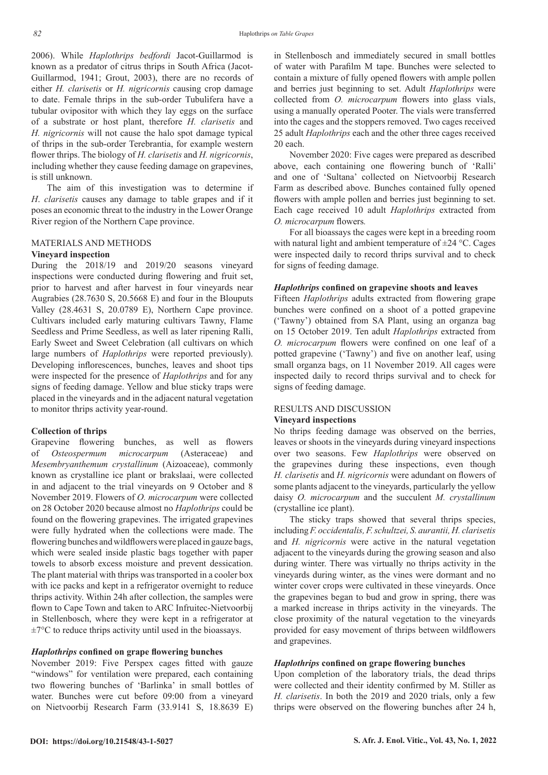2006). While *Haplothrips bedfordi* Jacot-Guillarmod is known as a predator of citrus thrips in South Africa (Jacot-Guillarmod, 1941; Grout, 2003), there are no records of either *H. clarisetis* or *H. nigricornis* causing crop damage to date. Female thrips in the sub-order Tubulifera have a tubular ovipositor with which they lay eggs on the surface of a substrate or host plant, therefore *H. clarisetis* and *H. nigricornis* will not cause the halo spot damage typical of thrips in the sub-order Terebrantia, for example western flower thrips. The biology of *H. clarisetis* and *H. nigricornis*, including whether they cause feeding damage on grapevines, is still unknown.

The aim of this investigation was to determine if *H*. *clarisetis* causes any damage to table grapes and if it poses an economic threat to the industry in the Lower Orange River region of the Northern Cape province.

### MATERIALS AND METHODS

### **Vineyard inspection**

During the 2018/19 and 2019/20 seasons vineyard inspections were conducted during flowering and fruit set, prior to harvest and after harvest in four vineyards near Augrabies (28.7630 S, 20.5668 E) and four in the Blouputs Valley (28.4631 S, 20.0789 E), Northern Cape province. Cultivars included early maturing cultivars Tawny, Flame Seedless and Prime Seedless, as well as later ripening Ralli, Early Sweet and Sweet Celebration (all cultivars on which large numbers of *Haplothrips* were reported previously). Developing inflorescences, bunches, leaves and shoot tips were inspected for the presence of *Haplothrips* and for any signs of feeding damage. Yellow and blue sticky traps were placed in the vineyards and in the adjacent natural vegetation to monitor thrips activity year-round.

### **Collection of thrips**

Grapevine flowering bunches, as well as flowers of *Osteospermum microcarpum* (Asteraceae) and *Mesembryanthemum crystallinum* (Aizoaceae), commonly known as crystalline ice plant or brakslaai, were collected in and adjacent to the trial vineyards on 9 October and 8 November 2019. Flowers of *O. microcarpum* were collected on 28 October 2020 because almost no *Haplothrips* could be found on the flowering grapevines. The irrigated grapevines were fully hydrated when the collections were made. The flowering bunches and wildflowers were placed in gauze bags, which were sealed inside plastic bags together with paper towels to absorb excess moisture and prevent dessication. The plant material with thrips was transported in a cooler box with ice packs and kept in a refrigerator overnight to reduce thrips activity. Within 24h after collection, the samples were flown to Cape Town and taken to ARC Infruitec-Nietvoorbij in Stellenbosch, where they were kept in a refrigerator at  $\pm$ 7°C to reduce thrips activity until used in the bioassays.

### *Haplothrips* **confined on grape flowering bunches**

November 2019: Five Perspex cages fitted with gauze "windows" for ventilation were prepared, each containing two flowering bunches of 'Barlinka' in small bottles of water. Bunches were cut before 09:00 from a vineyard on Nietvoorbij Research Farm (33.9141 S, 18.8639 E)

in Stellenbosch and immediately secured in small bottles of water with Parafilm M tape. Bunches were selected to contain a mixture of fully opened flowers with ample pollen and berries just beginning to set. Adult *Haplothrips* were collected from *O. microcarpum* flowers into glass vials, using a manually operated Pooter. The vials were transferred into the cages and the stoppers removed. Two cages received 25 adult *Haplothrips* each and the other three cages received 20 each.

November 2020: Five cages were prepared as described above, each containing one flowering bunch of 'Ralli' and one of 'Sultana' collected on Nietvoorbij Research Farm as described above. Bunches contained fully opened flowers with ample pollen and berries just beginning to set. Each cage received 10 adult *Haplothrips* extracted from *O. microcarpum* flowers*.*

For all bioassays the cages were kept in a breeding room with natural light and ambient temperature of  $\pm$ 24 °C. Cages were inspected daily to record thrips survival and to check for signs of feeding damage.

## *Haplothrips* **confined on grapevine shoots and leaves**

Fifteen *Haplothrips* adults extracted from flowering grape bunches were confined on a shoot of a potted grapevine ('Tawny') obtained from SA Plant, using an organza bag on 15 October 2019. Ten adult *Haplothrips* extracted from *O. microcarpum* flowers were confined on one leaf of a potted grapevine ('Tawny') and five on another leaf, using small organza bags, on 11 November 2019. All cages were inspected daily to record thrips survival and to check for signs of feeding damage.

# RESULTS AND DISCUSSION

### **Vineyard inspections**

No thrips feeding damage was observed on the berries, leaves or shoots in the vineyards during vineyard inspections over two seasons. Few *Haplothrips* were observed on the grapevines during these inspections, even though *H. clarisetis* and *H. nigricornis* were adundant on flowers of some plants adjacent to the vineyards, particularly the yellow daisy *O. microcarpum* and the succulent *M. crystallinum* (crystalline ice plant).

The sticky traps showed that several thrips species, including *F. occidentalis, F. schultzei, S. aurantii, H. clarisetis* and *H. nigricornis* were active in the natural vegetation adjacent to the vineyards during the growing season and also during winter. There was virtually no thrips activity in the vineyards during winter, as the vines were dormant and no winter cover crops were cultivated in these vineyards. Once the grapevines began to bud and grow in spring, there was a marked increase in thrips activity in the vineyards. The close proximity of the natural vegetation to the vineyards provided for easy movement of thrips between wildflowers and grapevines.

### *Haplothrips* **confined on grape flowering bunches**

Upon completion of the laboratory trials, the dead thrips were collected and their identity confirmed by M. Stiller as *H. clarisetis*. In both the 2019 and 2020 trials, only a few thrips were observed on the flowering bunches after 24 h,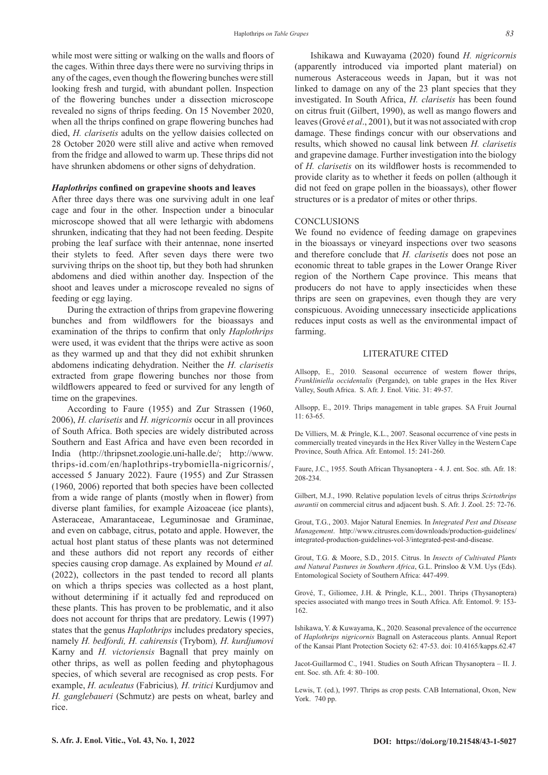while most were sitting or walking on the walls and floors of the cages. Within three days there were no surviving thrips in any of the cages, even though the flowering bunches were still looking fresh and turgid, with abundant pollen. Inspection of the flowering bunches under a dissection microscope revealed no signs of thrips feeding. On 15 November 2020, when all the thrips confined on grape flowering bunches had died, *H. clarisetis* adults on the yellow daisies collected on 28 October 2020 were still alive and active when removed from the fridge and allowed to warm up. These thrips did not have shrunken abdomens or other signs of dehydration.

### *Haplothrips* **confined on grapevine shoots and leaves**

After three days there was one surviving adult in one leaf cage and four in the other. Inspection under a binocular microscope showed that all were lethargic with abdomens shrunken, indicating that they had not been feeding. Despite probing the leaf surface with their antennae, none inserted their stylets to feed. After seven days there were two surviving thrips on the shoot tip, but they both had shrunken abdomens and died within another day. Inspection of the shoot and leaves under a microscope revealed no signs of feeding or egg laying.

During the extraction of thrips from grapevine flowering bunches and from wildflowers for the bioassays and examination of the thrips to confirm that only *Haplothrips* were used, it was evident that the thrips were active as soon as they warmed up and that they did not exhibit shrunken abdomens indicating dehydration. Neither the *H. clarisetis*  extracted from grape flowering bunches nor those from wildflowers appeared to feed or survived for any length of time on the grapevines.

According to Faure (1955) and Zur Strassen (1960, 2006), *H. clarisetis* and *H. nigricornis* occur in all provinces of South Africa. Both species are widely distributed across Southern and East Africa and have even been recorded in India (http://thripsnet.zoologie.uni-halle.de/; http://www. thrips-id.com/en/haplothrips-trybomiella-nigricornis/, accessed 5 January 2022). Faure (1955) and Zur Strassen (1960, 2006) reported that both species have been collected from a wide range of plants (mostly when in flower) from diverse plant families, for example Aizoaceae (ice plants), Asteraceae, Amarantaceae, Leguminosae and Graminae, and even on cabbage, citrus, potato and apple. However, the actual host plant status of these plants was not determined and these authors did not report any records of either species causing crop damage. As explained by Mound *et al.* (2022), collectors in the past tended to record all plants on which a thrips species was collected as a host plant, without determining if it actually fed and reproduced on these plants. This has proven to be problematic, and it also does not account for thrips that are predatory. Lewis (1997) states that the genus *Haplothrips* includes predatory species, namely *H. bedfordi, H. cahirensis* (Trybom)*, H. kurdjumovi*  Karny and *H. victoriensis* Bagnall that prey mainly on other thrips, as well as pollen feeding and phytophagous species, of which several are recognised as crop pests. For example, *H. aculeatus* (Fabricius)*, H. tritici* Kurdjumov and *H. ganglebaueri* (Schmutz) are pests on wheat, barley and rice.

Ishikawa and Kuwayama (2020) found *H. nigricornis*  (apparently introduced via imported plant material) on numerous Asteraceous weeds in Japan, but it was not linked to damage on any of the 23 plant species that they investigated. In South Africa, *H. clarisetis* has been found on citrus fruit (Gilbert, 1990), as well as mango flowers and leaves (Grové *et al*., 2001), but it was not associated with crop damage. These findings concur with our observations and results, which showed no causal link between *H. clarisetis*  and grapevine damage. Further investigation into the biology of *H. clarisetis* on its wildflower hosts is recommended to provide clarity as to whether it feeds on pollen (although it did not feed on grape pollen in the bioassays), other flower structures or is a predator of mites or other thrips.

#### **CONCLUSIONS**

We found no evidence of feeding damage on grapevines in the bioassays or vineyard inspections over two seasons and therefore conclude that *H. clarisetis* does not pose an economic threat to table grapes in the Lower Orange River region of the Northern Cape province. This means that producers do not have to apply insecticides when these thrips are seen on grapevines, even though they are very conspicuous. Avoiding unnecessary insecticide applications reduces input costs as well as the environmental impact of farming.

### LITERATURE CITED

Allsopp, E., 2010. Seasonal occurrence of western flower thrips, *Frankliniella occidentalis* (Pergande), on table grapes in the Hex River Valley, South Africa. S. Afr. J. Enol. Vitic. 31: 49-57.

Allsopp, E., 2019. Thrips management in table grapes. SA Fruit Journal 11: 63-65.

De Villiers, M. & Pringle, K.L., 2007. Seasonal occurrence of vine pests in commercially treated vineyards in the Hex River Valley in the Western Cape Province, South Africa. Afr. Entomol. 15: 241-260.

Faure, J.C., 1955. South African Thysanoptera - 4. J. ent. Soc. sth. Afr. 18: 208-234.

Gilbert, M.J., 1990. Relative population levels of citrus thrips *Scirtothrips aurantii* on commercial citrus and adjacent bush. S. Afr. J. Zool. 25: 72-76.

Grout, T.G., 2003. Major Natural Enemies. In *Integrated Pest and Disease Management*. http://www.citrusres.com/downloads/production-guidelines/ integrated-production-guidelines-vol-3/integrated-pest-and-disease.

Grout, T.G. & Moore, S.D., 2015. Citrus. In *Insects of Cultivated Plants and Natural Pastures in Southern Africa*, G.L. Prinsloo & V.M. Uys (Eds). Entomological Society of Southern Africa: 447-499.

Grové, T., Giliomee, J.H. & Pringle, K.L., 2001. Thrips (Thysanoptera) species associated with mango trees in South Africa. Afr. Entomol. 9: 153- 162.

Ishikawa, Y. & Kuwayama, K., 2020. Seasonal prevalence of the occurrence of *Haplothrips nigricornis* Bagnall on Asteraceous plants. Annual Report of the Kansai Plant Protection Society 62: 47-53. doi: 10.4165/kapps.62.47

Jacot-Guillarmod C., 1941. Studies on South African Thysanoptera – II. J. ent. Soc. sth. Afr. 4: 80–100.

Lewis, T. (ed.), 1997. Thrips as crop pests. CAB International, Oxon, New York. 740 pp.